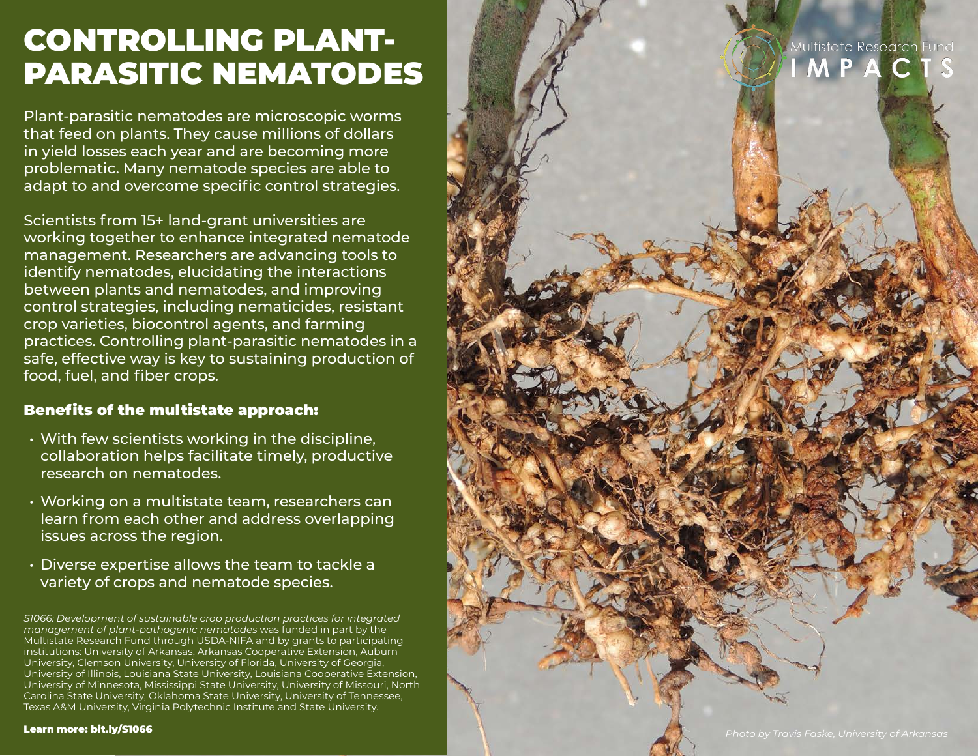# CONTROLLING PLANT-PARASITIC NEMATODES

Plant-parasitic nematodes are microscopic worms that feed on plants. They cause millions of dollars in yield losses each year and are becoming more problematic. Many nematode species are able to adapt to and overcome specific control strategies.

Scientists from 15+ land-grant universities are working together to enhance integrated nematode management. Researchers are advancing tools to identify nematodes, elucidating the interactions between plants and nematodes, and improving control strategies, including nematicides, resistant crop varieties, biocontrol agents, and farming practices. Controlling plant-parasitic nematodes in a safe, effective way is key to sustaining production of food, fuel, and fiber crops.

## Benefits of the multistate approach:

- With few scientists working in the discipline, collaboration helps facilitate timely, productive research on nematodes.
- Working on a multistate team, researchers can learn from each other and address overlapping issues across the region.
- Diverse expertise allows the team to tackle a variety of crops and nematode species.

*S1066: Development of sustainable crop production practices for integrated management of plant-pathogenic nematodes* was funded in part by the Multistate Research Fund through USDA-NIFA and by grants to participating institutions: University of Arkansas, Arkansas Cooperative Extension, Auburn University, Clemson University, University of Florida, University of Georgia, University of Illinois, Louisiana State University, Louisiana Cooperative Extension, University of Minnesota, Mississippi State University, University of Missouri, North Carolina State University, Oklahoma State University, University of Tennessee, Texas A&M University, Virginia Polytechnic Institute and State University.



Aultistate Research